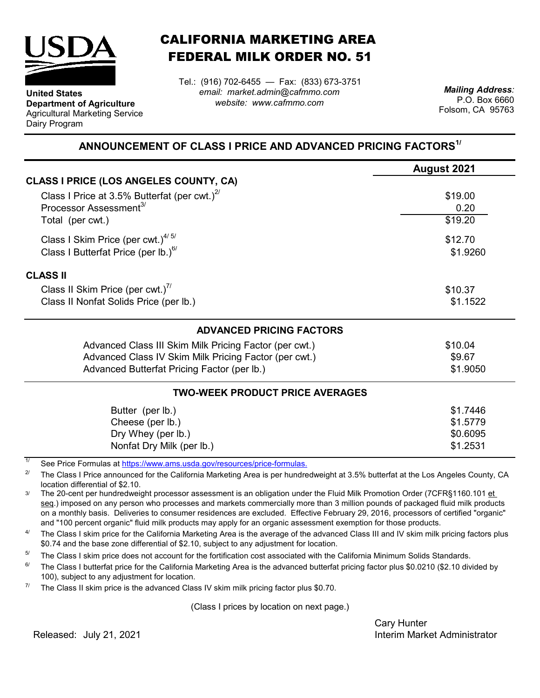

**Department of Agriculture** Agricultural Marketing Service

**United States**

Dairy Program

CALIFORNIA MARKETING AREA FEDERAL MILK ORDER NO. 51

*email: market.admin@cafmmo.com website: www.cafmmo.com* Tel.: (916) 702-6455 — Fax: (833) 673-3751 *Mailing Address:*

P.O. Box 6660 Folsom, CA 95763

## **ANNOUNCEMENT OF CLASS I PRICE AND ADVANCED PRICING FACTORS1/**

|                                                                               | August 2021 |  |  |  |
|-------------------------------------------------------------------------------|-------------|--|--|--|
| CLASS I PRICE (LOS ANGELES COUNTY, CA)                                        |             |  |  |  |
| Class I Price at 3.5% Butterfat (per cwt.) $^{27}$                            | \$19.00     |  |  |  |
| Processor Assessment <sup>3/</sup>                                            | 0.20        |  |  |  |
| Total (per cwt.)                                                              | \$19.20     |  |  |  |
| Class I Skim Price (per cwt.) $4/5/$                                          | \$12.70     |  |  |  |
| Class I Butterfat Price (per lb.) $6/$                                        | \$1.9260    |  |  |  |
| <b>CLASS II</b>                                                               |             |  |  |  |
| Class II Skim Price (per cwt.) <sup>7/</sup>                                  | \$10.37     |  |  |  |
| Class II Nonfat Solids Price (per lb.)                                        | \$1.1522    |  |  |  |
| <b>ADVANCED PRICING FACTORS</b>                                               |             |  |  |  |
| Advanced Class III Skim Milk Pricing Factor (per cwt.)                        | \$10.04     |  |  |  |
| Advanced Class IV Skim Milk Pricing Factor (per cwt.)                         | \$9.67      |  |  |  |
| Advanced Butterfat Pricing Factor (per lb.)                                   | \$1.9050    |  |  |  |
| <b>TWO-WEEK PRODUCT PRICE AVERAGES</b>                                        |             |  |  |  |
| Butter (per lb.)                                                              | \$1.7446    |  |  |  |
| Cheese (per lb.)                                                              | \$1.5779    |  |  |  |
| Dry Whey (per lb.)                                                            | \$0.6095    |  |  |  |
| Nonfat Dry Milk (per lb.)                                                     | \$1.2531    |  |  |  |
| 1/<br>See Dries Fermules of https://www.eme.uado.gov/researcee/prise fermules |             |  |  |  |

[See Price Formulas at](https://www.ams.usda.gov/resources/price-formulas) https://www.ams.usda.gov/resources/price-formulas.

2/ The Class I Price announced for the California Marketing Area is per hundredweight at 3.5% butterfat at the Los Angeles County, CA location differential of \$2.10.

3/ The 20-cent per hundredweight processor assessment is an obligation under the Fluid Milk Promotion Order (7CFR§1160.101 et seq.) imposed on any person who processes and markets commercially more than 3 million pounds of packaged fluid milk products on a monthly basis. Deliveries to consumer residences are excluded. Effective February 29, 2016, processors of certified "organic" and "100 percent organic" fluid milk products may apply for an organic assessment exemption for those products.

4/ The Class I skim price for the California Marketing Area is the average of the advanced Class III and IV skim milk pricing factors plus \$0.74 and the base zone differential of \$2.10, subject to any adjustment for location.

5/ The Class I skim price does not account for the fortification cost associated with the California Minimum Solids Standards.

6/ The Class I butterfat price for the California Marketing Area is the advanced butterfat pricing factor plus \$0.0210 (\$2.10 divided by 100), subject to any adjustment for location.

7/ The Class II skim price is the advanced Class IV skim milk pricing factor plus \$0.70.

(Class I prices by location on next page.)

Cary Hunter Released: Interim Market Administrator July 21, 2021